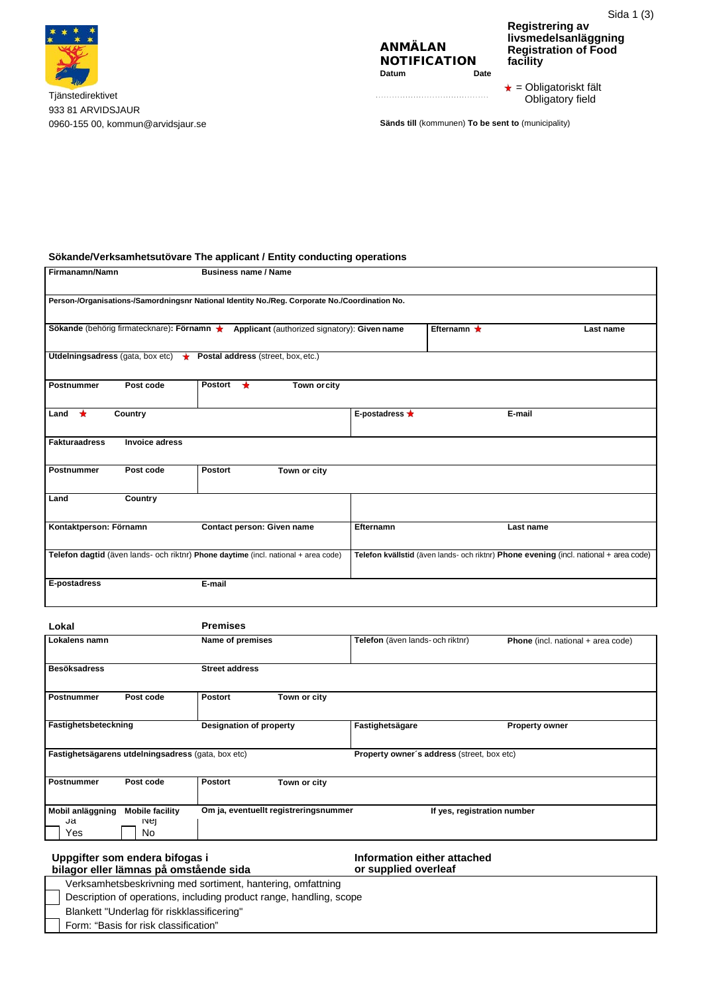

Tjänstedirektivet 933 81 ARVIDSJAUR 0960-155 00[, kommun@arvidsjaur.se](mailto:kommun@arvidsjaur.se) **Sänds till** (kommunen) **To be sent to** (municipality)

## ANMÄLAN **NOTIFICATION**<br>Datum Date **Datum**

Sida 1 (3) **Registrering av livsmedelsanläggning Registration of Food facility**

 $\star$  = Obligatoriskt fält Obligatory field

# **Sökande/Verksamhetsutövare The applicant / Entity conducting operations**

| Firmanamn/Namn                                                                                 | <b>Business name / Name</b>                  |                      |                   |                                                                                       |
|------------------------------------------------------------------------------------------------|----------------------------------------------|----------------------|-------------------|---------------------------------------------------------------------------------------|
| Person-/Organisations-/Samordningsnr National Identity No./Reg. Corporate No./Coordination No. |                                              |                      |                   |                                                                                       |
| Sökande (behörig firmatecknare): Förnamn ★                                                     | Applicant (authorized signatory): Given name |                      | Efternamn $\star$ | Last name                                                                             |
| Utdelningsadress (gata, box etc) $\star$ Postal address (street, box, etc.)                    |                                              |                      |                   |                                                                                       |
| Post code<br><b>Postnummer</b>                                                                 | Postort $\star$<br>Town or city              |                      |                   |                                                                                       |
| ★<br>Country<br>Land                                                                           |                                              | E-postadress $\star$ |                   | E-mail                                                                                |
| <b>Fakturaadress</b><br><b>Invoice adress</b>                                                  |                                              |                      |                   |                                                                                       |
| <b>Postnummer</b><br>Post code                                                                 | <b>Postort</b><br>Town or city               |                      |                   |                                                                                       |
| Country<br>Land                                                                                |                                              |                      |                   |                                                                                       |
| Kontaktperson: Förnamn                                                                         | Contact person: Given name                   | Efternamn            |                   | Last name                                                                             |
| Telefon dagtid (även lands- och riktnr) Phone daytime (incl. national + area code)             |                                              |                      |                   | Telefon kvällstid (även lands- och riktnr) Phone evening (incl. national + area code) |
| E-postadress                                                                                   | E-mail                                       |                      |                   |                                                                                       |

| Lokal                         |                                                    | <b>Premises</b>         |                                       |                                                   |                                    |  |
|-------------------------------|----------------------------------------------------|-------------------------|---------------------------------------|---------------------------------------------------|------------------------------------|--|
| Lokalens namn                 |                                                    | Name of premises        |                                       | Telefon (även lands- och riktnr)                  | Phone (incl. national + area code) |  |
| <b>Besöksadress</b>           |                                                    | <b>Street address</b>   |                                       |                                                   |                                    |  |
| <b>Postnummer</b>             | Post code                                          | <b>Postort</b>          | Town or city                          |                                                   |                                    |  |
| Fastighetsbeteckning          |                                                    | Designation of property |                                       | Fastighetsägare                                   | <b>Property owner</b>              |  |
|                               | Fastighetsägarens utdelningsadress (gata, box etc) |                         |                                       | <b>Property owner's address (street, box etc)</b> |                                    |  |
| Postnummer                    | Post code                                          | <b>Postort</b>          | Town or city                          |                                                   |                                    |  |
| Mobil anläggning<br>Ja<br>Yes | <b>Mobile facility</b><br><b>Nej</b><br>No.        |                         | Om ja, eventuellt registreringsnummer |                                                   | If yes, registration number        |  |

#### **Uppgifter som endera bifogas i bilagor eller lämnas på omstående sida Information either attached or supplied overleaf** Verksamhetsbeskrivning med sortiment, hantering, omfattning Description of operations, including product range, handling, scope Blankett "Underlag för riskklassificering" Form: "Basis for risk classification"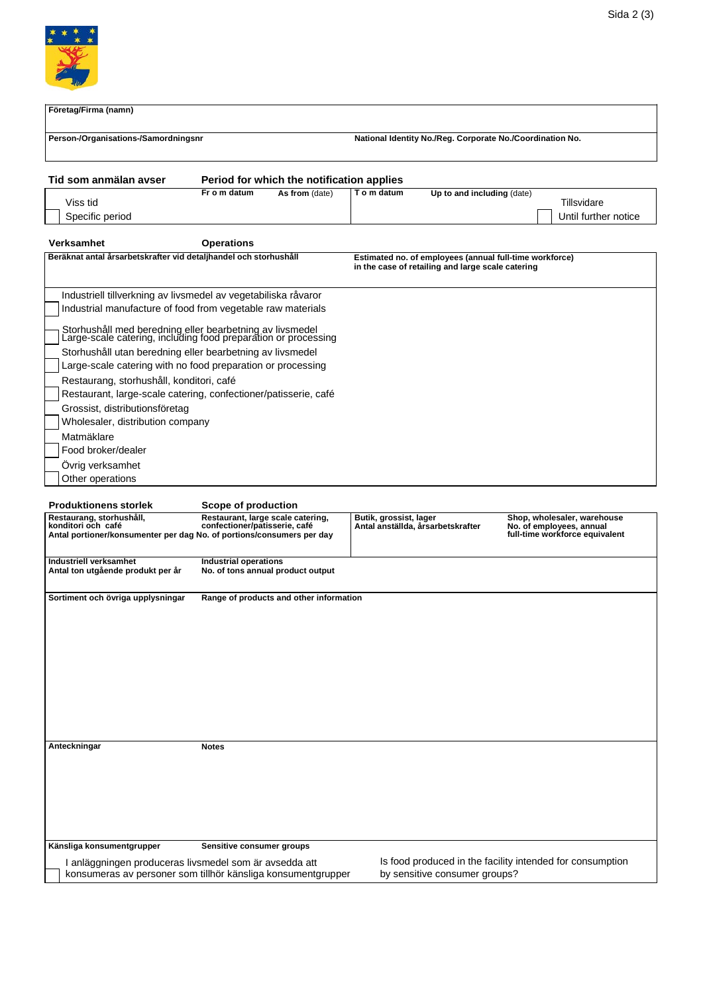

| Företag/Firma (namn)                                                                                                       |                                                                    |                                                                                                              |                        |                                   |  |                                                                                           |
|----------------------------------------------------------------------------------------------------------------------------|--------------------------------------------------------------------|--------------------------------------------------------------------------------------------------------------|------------------------|-----------------------------------|--|-------------------------------------------------------------------------------------------|
| Person-/Organisations-/Samordningsnr                                                                                       |                                                                    | National Identity No./Reg. Corporate No./Coordination No.                                                    |                        |                                   |  |                                                                                           |
| Tid som anmälan avser                                                                                                      |                                                                    | Period for which the notification applies                                                                    |                        |                                   |  |                                                                                           |
|                                                                                                                            | Fr o m datum                                                       | As from (date)                                                                                               | T o m datum            | Up to and including (date)        |  |                                                                                           |
| Viss tid                                                                                                                   |                                                                    |                                                                                                              |                        |                                   |  | Tillsvidare                                                                               |
| Specific period                                                                                                            |                                                                    |                                                                                                              |                        |                                   |  | Until further notice                                                                      |
| Verksamhet                                                                                                                 | <b>Operations</b>                                                  |                                                                                                              |                        |                                   |  |                                                                                           |
| Beräknat antal årsarbetskrafter vid detaljhandel och storhushåll                                                           |                                                                    | Estimated no. of employees (annual full-time workforce)<br>in the case of retailing and large scale catering |                        |                                   |  |                                                                                           |
| Industriell tillverkning av livsmedel av vegetabiliska råvaror                                                             |                                                                    |                                                                                                              |                        |                                   |  |                                                                                           |
| Industrial manufacture of food from vegetable raw materials                                                                |                                                                    |                                                                                                              |                        |                                   |  |                                                                                           |
| Storhushåll med beredning eller bearbetning av livsmedel<br>Large-scale catering, including food preparation or processing |                                                                    |                                                                                                              |                        |                                   |  |                                                                                           |
| Storhushåll utan beredning eller bearbetning av livsmedel                                                                  |                                                                    |                                                                                                              |                        |                                   |  |                                                                                           |
| Large-scale catering with no food preparation or processing                                                                |                                                                    |                                                                                                              |                        |                                   |  |                                                                                           |
| Restaurang, storhushåll, konditori, café                                                                                   |                                                                    |                                                                                                              |                        |                                   |  |                                                                                           |
| Restaurant, large-scale catering, confectioner/patisserie, café                                                            |                                                                    |                                                                                                              |                        |                                   |  |                                                                                           |
| Grossist, distributionsföretag                                                                                             |                                                                    |                                                                                                              |                        |                                   |  |                                                                                           |
| Wholesaler, distribution company                                                                                           |                                                                    |                                                                                                              |                        |                                   |  |                                                                                           |
| Matmäklare                                                                                                                 |                                                                    |                                                                                                              |                        |                                   |  |                                                                                           |
| Food broker/dealer                                                                                                         |                                                                    |                                                                                                              |                        |                                   |  |                                                                                           |
| Övrig verksamhet                                                                                                           |                                                                    |                                                                                                              |                        |                                   |  |                                                                                           |
| Other operations                                                                                                           |                                                                    |                                                                                                              |                        |                                   |  |                                                                                           |
|                                                                                                                            |                                                                    |                                                                                                              |                        |                                   |  |                                                                                           |
| <b>Produktionens storlek</b>                                                                                               | Scope of production                                                |                                                                                                              |                        |                                   |  |                                                                                           |
| Restaurang, storhushåll,<br>konditori och café<br>Antal portioner/konsumenter per dag No. of portions/consumers per day    | Restaurant, large scale catering,<br>confectioner/patisserie, café |                                                                                                              | Butik, grossist, lager | Antal anställda, årsarbetskrafter |  | Shop, wholesaler, warehouse<br>No. of employees, annual<br>full-time workforce equivalent |
| Industriell verksamhet<br>Antal ton utgående produkt per år                                                                | Industrial operations                                              | No. of tons annual product output                                                                            |                        |                                   |  |                                                                                           |
| Sortiment och övriga upplysningar                                                                                          |                                                                    | Range of products and other information                                                                      |                        |                                   |  |                                                                                           |

**Anteckningar Notes**

**Känsliga konsumentgrupper Sensitive consumer groups**

I anläggningen produceras livsmedel som är avsedda att Is food produced in the facility intended for consumption konsumeras av personer som tillhör känsliga konsumentgrupper by sensitive consumer groups?